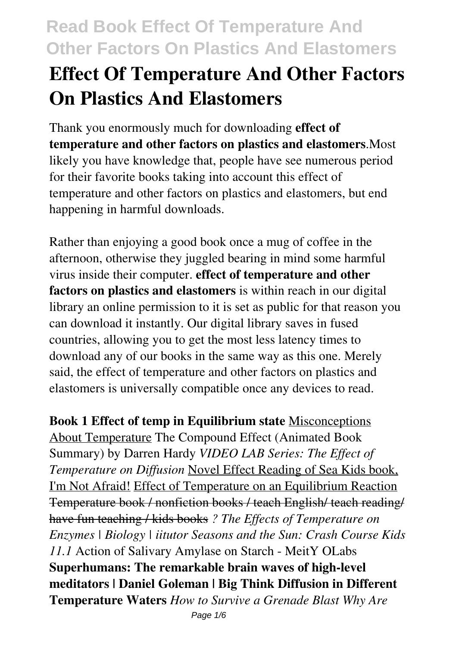# **Effect Of Temperature And Other Factors On Plastics And Elastomers**

Thank you enormously much for downloading **effect of temperature and other factors on plastics and elastomers**.Most likely you have knowledge that, people have see numerous period for their favorite books taking into account this effect of temperature and other factors on plastics and elastomers, but end happening in harmful downloads.

Rather than enjoying a good book once a mug of coffee in the afternoon, otherwise they juggled bearing in mind some harmful virus inside their computer. **effect of temperature and other factors on plastics and elastomers** is within reach in our digital library an online permission to it is set as public for that reason you can download it instantly. Our digital library saves in fused countries, allowing you to get the most less latency times to download any of our books in the same way as this one. Merely said, the effect of temperature and other factors on plastics and elastomers is universally compatible once any devices to read.

**Book 1 Effect of temp in Equilibrium state** Misconceptions About Temperature The Compound Effect (Animated Book Summary) by Darren Hardy *VIDEO LAB Series: The Effect of Temperature on Diffusion* Novel Effect Reading of Sea Kids book, I'm Not Afraid! Effect of Temperature on an Equilibrium Reaction Temperature book / nonfiction books / teach English/ teach reading/ have fun teaching / kids books *? The Effects of Temperature on Enzymes | Biology | iitutor Seasons and the Sun: Crash Course Kids 11.1* Action of Salivary Amylase on Starch - MeitY OLabs **Superhumans: The remarkable brain waves of high-level meditators | Daniel Goleman | Big Think Diffusion in Different Temperature Waters** *How to Survive a Grenade Blast Why Are*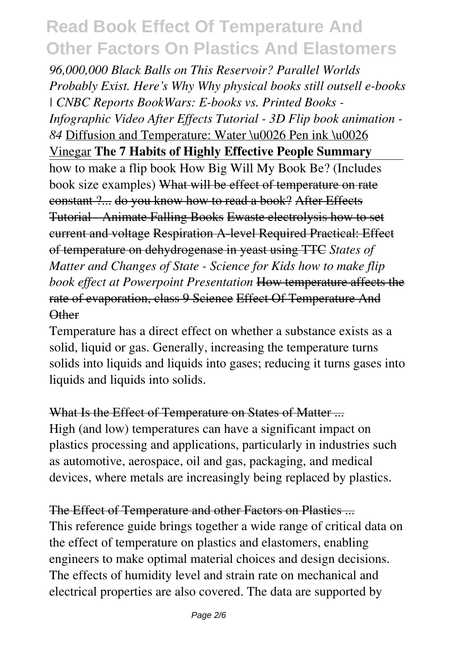*96,000,000 Black Balls on This Reservoir? Parallel Worlds Probably Exist. Here's Why Why physical books still outsell e-books | CNBC Reports BookWars: E-books vs. Printed Books - Infographic Video After Effects Tutorial - 3D Flip book animation - 84* Diffusion and Temperature: Water \u0026 Pen ink \u0026 Vinegar **The 7 Habits of Highly Effective People Summary** how to make a flip book How Big Will My Book Be? (Includes book size examples) What will be effect of temperature on rate constant ?... do you know how to read a book? After Effects Tutorial - Animate Falling Books Ewaste electrolysis how to set current and voltage Respiration A-level Required Practical: Effect of temperature on dehydrogenase in yeast using TTC *States of Matter and Changes of State - Science for Kids how to make flip book effect at Powerpoint Presentation* How temperature affects the rate of evaporation, class 9 Science Effect Of Temperature And **Other** 

Temperature has a direct effect on whether a substance exists as a solid, liquid or gas. Generally, increasing the temperature turns solids into liquids and liquids into gases; reducing it turns gases into liquids and liquids into solids.

#### What Is the Effect of Temperature on States of Matter ...

High (and low) temperatures can have a significant impact on plastics processing and applications, particularly in industries such as automotive, aerospace, oil and gas, packaging, and medical devices, where metals are increasingly being replaced by plastics.

### The Effect of Temperature and other Factors on Plastics ...

This reference guide brings together a wide range of critical data on the effect of temperature on plastics and elastomers, enabling engineers to make optimal material choices and design decisions. The effects of humidity level and strain rate on mechanical and electrical properties are also covered. The data are supported by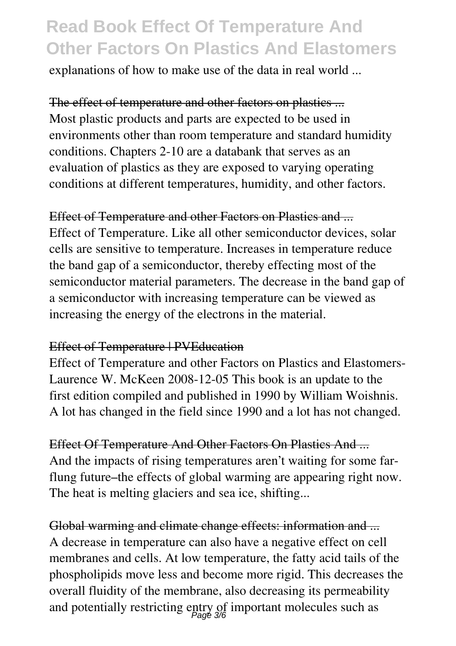explanations of how to make use of the data in real world ...

The effect of temperature and other factors on plastics ... Most plastic products and parts are expected to be used in environments other than room temperature and standard humidity conditions. Chapters 2-10 are a databank that serves as an evaluation of plastics as they are exposed to varying operating conditions at different temperatures, humidity, and other factors.

#### Effect of Temperature and other Factors on Plastics and ...

Effect of Temperature. Like all other semiconductor devices, solar cells are sensitive to temperature. Increases in temperature reduce the band gap of a semiconductor, thereby effecting most of the semiconductor material parameters. The decrease in the band gap of a semiconductor with increasing temperature can be viewed as increasing the energy of the electrons in the material.

#### Effect of Temperature | PVEducation

Effect of Temperature and other Factors on Plastics and Elastomers-Laurence W. McKeen 2008-12-05 This book is an update to the first edition compiled and published in 1990 by William Woishnis. A lot has changed in the field since 1990 and a lot has not changed.

Effect Of Temperature And Other Factors On Plastics And ... And the impacts of rising temperatures aren't waiting for some farflung future–the effects of global warming are appearing right now. The heat is melting glaciers and sea ice, shifting...

Global warming and climate change effects: information and ... A decrease in temperature can also have a negative effect on cell membranes and cells. At low temperature, the fatty acid tails of the phospholipids move less and become more rigid. This decreases the overall fluidity of the membrane, also decreasing its permeability and potentially restricting entry of important molecules such as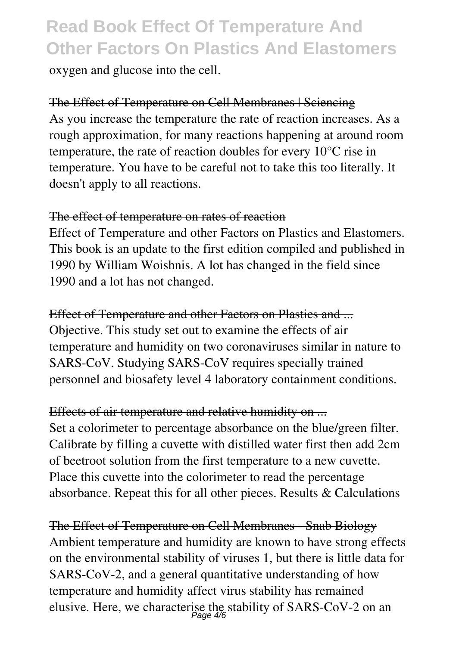oxygen and glucose into the cell.

### The Effect of Temperature on Cell Membranes | Sciencing

As you increase the temperature the rate of reaction increases. As a rough approximation, for many reactions happening at around room temperature, the rate of reaction doubles for every 10°C rise in temperature. You have to be careful not to take this too literally. It doesn't apply to all reactions.

#### The effect of temperature on rates of reaction

Effect of Temperature and other Factors on Plastics and Elastomers. This book is an update to the first edition compiled and published in 1990 by William Woishnis. A lot has changed in the field since 1990 and a lot has not changed.

Effect of Temperature and other Factors on Plastics and ... Objective. This study set out to examine the effects of air temperature and humidity on two coronaviruses similar in nature to SARS-CoV. Studying SARS-CoV requires specially trained personnel and biosafety level 4 laboratory containment conditions.

#### Effects of air temperature and relative humidity on ...

Set a colorimeter to percentage absorbance on the blue/green filter. Calibrate by filling a cuvette with distilled water first then add  $2cm<sup>3</sup>$ of beetroot solution from the first temperature to a new cuvette. Place this cuvette into the colorimeter to read the percentage absorbance. Repeat this for all other pieces. Results & Calculations

The Effect of Temperature on Cell Membranes - Snab Biology Ambient temperature and humidity are known to have strong effects on the environmental stability of viruses 1, but there is little data for SARS-CoV-2, and a general quantitative understanding of how temperature and humidity affect virus stability has remained elusive. Here, we characterise the stability of SARS-CoV-2 on an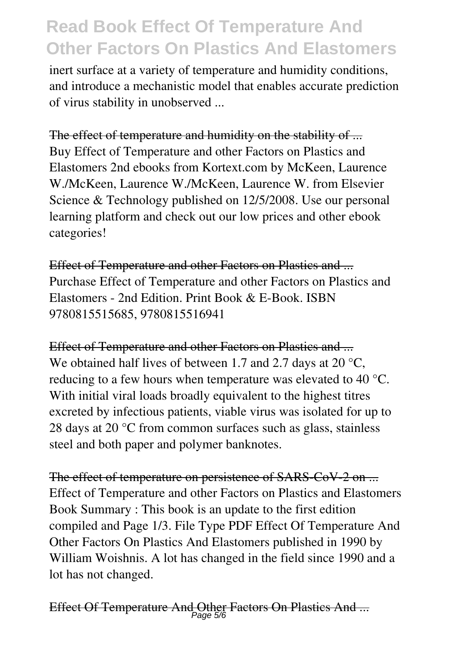inert surface at a variety of temperature and humidity conditions, and introduce a mechanistic model that enables accurate prediction of virus stability in unobserved ...

#### The effect of temperature and humidity on the stability of ...

Buy Effect of Temperature and other Factors on Plastics and Elastomers 2nd ebooks from Kortext.com by McKeen, Laurence W./McKeen, Laurence W./McKeen, Laurence W. from Elsevier Science & Technology published on 12/5/2008. Use our personal learning platform and check out our low prices and other ebook categories!

Effect of Temperature and other Factors on Plastics and ... Purchase Effect of Temperature and other Factors on Plastics and Elastomers - 2nd Edition. Print Book & E-Book. ISBN 9780815515685, 9780815516941

Effect of Temperature and other Factors on Plastics and ... We obtained half lives of between 1.7 and 2.7 days at 20 °C, reducing to a few hours when temperature was elevated to 40 °C. With initial viral loads broadly equivalent to the highest titres excreted by infectious patients, viable virus was isolated for up to 28 days at 20 °C from common surfaces such as glass, stainless steel and both paper and polymer banknotes.

The effect of temperature on persistence of SARS-CoV-2 on ... Effect of Temperature and other Factors on Plastics and Elastomers Book Summary : This book is an update to the first edition compiled and Page 1/3. File Type PDF Effect Of Temperature And Other Factors On Plastics And Elastomers published in 1990 by William Woishnis. A lot has changed in the field since 1990 and a lot has not changed.

```
Effect Of Temperature And Other Factors On Plastics And ...
Page 5/6
```